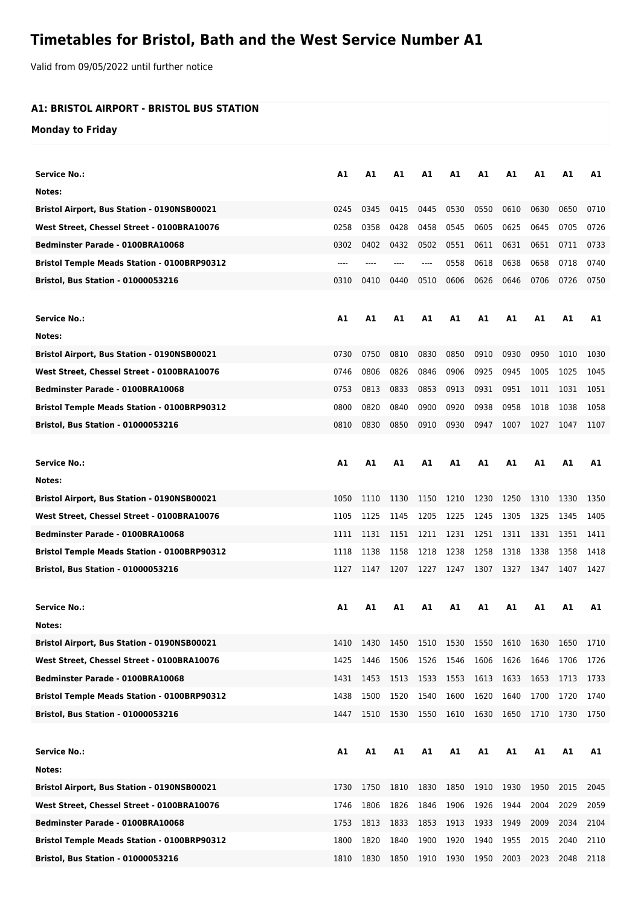# **Timetables for Bristol, Bath and the West Service Number A1**

Valid from 09/05/2022 until further notice

### **A1: BRISTOL AIRPORT - BRISTOL BUS STATION**

#### **Monday to Friday**

| <b>Service No.:</b>                                | Α1   | Α1   | Α1                                                | Α1   | A1   | A1   | A1   | Α1   | A1   | A1   |
|----------------------------------------------------|------|------|---------------------------------------------------|------|------|------|------|------|------|------|
| Notes:                                             |      |      |                                                   |      |      |      |      |      |      |      |
| Bristol Airport, Bus Station - 0190NSB00021        | 0245 | 0345 | 0415                                              | 0445 | 0530 | 0550 | 0610 | 0630 | 0650 | 0710 |
| West Street, Chessel Street - 0100BRA10076         | 0258 | 0358 | 0428                                              | 0458 | 0545 | 0605 | 0625 | 0645 | 0705 | 0726 |
| Bedminster Parade - 0100BRA10068                   | 0302 | 0402 | 0432                                              | 0502 | 0551 | 0611 | 0631 | 0651 | 0711 | 0733 |
| <b>Bristol Temple Meads Station - 0100BRP90312</b> | ---- | ---- | ----                                              | ---- | 0558 | 0618 | 0638 | 0658 | 0718 | 0740 |
| <b>Bristol, Bus Station - 01000053216</b>          | 0310 | 0410 | 0440                                              | 0510 | 0606 | 0626 | 0646 | 0706 | 0726 | 0750 |
|                                                    |      |      |                                                   |      |      |      |      |      |      |      |
| <b>Service No.:</b>                                | A1   | А1   | A1                                                | A1   | A1   | A1   | А1   | Α1   | A1   | A1   |
| Notes:                                             |      |      |                                                   |      |      |      |      |      |      |      |
| Bristol Airport, Bus Station - 0190NSB00021        | 0730 | 0750 | 0810                                              | 0830 | 0850 | 0910 | 0930 | 0950 | 1010 | 1030 |
| West Street, Chessel Street - 0100BRA10076         | 0746 | 0806 | 0826                                              | 0846 | 0906 | 0925 | 0945 | 1005 | 1025 | 1045 |
| Bedminster Parade - 0100BRA10068                   | 0753 | 0813 | 0833                                              | 0853 | 0913 | 0931 | 0951 | 1011 | 1031 | 1051 |
| <b>Bristol Temple Meads Station - 0100BRP90312</b> | 0800 | 0820 | 0840                                              | 0900 | 0920 | 0938 | 0958 | 1018 | 1038 | 1058 |
| <b>Bristol, Bus Station - 01000053216</b>          | 0810 | 0830 | 0850                                              | 0910 | 0930 | 0947 | 1007 | 1027 | 1047 | 1107 |
|                                                    |      |      |                                                   |      |      |      |      |      |      |      |
| <b>Service No.:</b>                                | Α1   | A1   | A1                                                | A1   | A1   | A1   | A1   | A1   | A1   | A1   |
| Notes:                                             |      |      |                                                   |      |      |      |      |      |      |      |
| Bristol Airport, Bus Station - 0190NSB00021        | 1050 | 1110 | 1130                                              | 1150 | 1210 | 1230 | 1250 | 1310 | 1330 | 1350 |
| West Street, Chessel Street - 0100BRA10076         | 1105 | 1125 | 1145                                              | 1205 | 1225 | 1245 | 1305 | 1325 | 1345 | 1405 |
| Bedminster Parade - 0100BRA10068                   | 1111 | 1131 | 1151                                              | 1211 | 1231 | 1251 | 1311 | 1331 | 1351 | 1411 |
| <b>Bristol Temple Meads Station - 0100BRP90312</b> | 1118 | 1138 | 1158                                              | 1218 | 1238 | 1258 | 1318 | 1338 | 1358 | 1418 |
| <b>Bristol, Bus Station - 01000053216</b>          | 1127 | 1147 | 1207                                              | 1227 | 1247 | 1307 | 1327 | 1347 | 1407 | 1427 |
|                                                    |      |      |                                                   |      |      |      |      |      |      |      |
| <b>Service No.:</b>                                | A1   | A1   | A1                                                | Α1   | Α1   | A1   | A1   | Α1   | A1   | A1   |
| Notes:                                             |      |      |                                                   |      |      |      |      |      |      |      |
| Bristol Airport, Bus Station - 0190NSB00021        |      |      | 1410 1430 1450 1510 1530 1550 1610 1630 1650 1710 |      |      |      |      |      |      |      |
| West Street, Chessel Street - 0100BRA10076         | 1425 | 1446 | 1506                                              | 1526 | 1546 | 1606 | 1626 | 1646 | 1706 | 1726 |
| Bedminster Parade - 0100BRA10068                   | 1431 | 1453 | 1513                                              | 1533 | 1553 | 1613 | 1633 | 1653 | 1713 | 1733 |
| Bristol Temple Meads Station - 0100BRP90312        | 1438 | 1500 | 1520                                              | 1540 | 1600 | 1620 | 1640 | 1700 | 1720 | 1740 |
| <b>Bristol, Bus Station - 01000053216</b>          | 1447 | 1510 | 1530                                              | 1550 | 1610 | 1630 | 1650 | 1710 | 1730 | 1750 |
|                                                    |      |      |                                                   |      |      |      |      |      |      |      |
| Service No.:                                       | A1   |      | <b>A1</b>                                         | A1   | A1   | A1   | A1   | A1   | A1   | A1   |
|                                                    |      | A1   |                                                   |      |      |      |      |      |      |      |
| Notes:                                             |      |      |                                                   |      |      |      |      |      |      |      |
| Bristol Airport, Bus Station - 0190NSB00021        | 1730 | 1750 | 1810                                              | 1830 | 1850 | 1910 | 1930 | 1950 | 2015 | 2045 |
| West Street, Chessel Street - 0100BRA10076         | 1746 | 1806 | 1826                                              | 1846 | 1906 | 1926 | 1944 | 2004 | 2029 | 2059 |
| <b>Bedminster Parade - 0100BRA10068</b>            | 1753 | 1813 | 1833                                              | 1853 | 1913 | 1933 | 1949 | 2009 | 2034 | 2104 |
| <b>Bristol Temple Meads Station - 0100BRP90312</b> | 1800 | 1820 | 1840                                              | 1900 | 1920 | 1940 | 1955 | 2015 | 2040 | 2110 |
| <b>Bristol, Bus Station - 01000053216</b>          | 1810 | 1830 | 1850                                              | 1910 | 1930 | 1950 | 2003 | 2023 | 2048 | 2118 |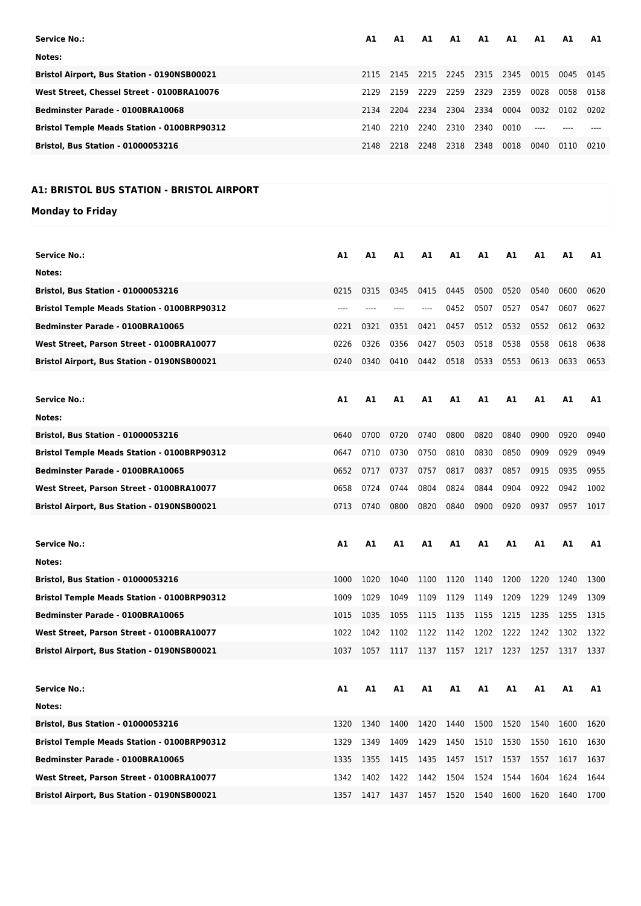| <b>Service No.:</b>                                | A1   | A1        | A1   | A1        | A1             | A1   | A1   | A1   | A1   |
|----------------------------------------------------|------|-----------|------|-----------|----------------|------|------|------|------|
| Notes:                                             |      |           |      |           |                |      |      |      |      |
| <b>Bristol Airport, Bus Station - 0190NSB00021</b> |      | 2115 2145 | 2215 |           | 2245 2315 2345 |      | 0015 | 0045 | 0145 |
| West Street, Chessel Street - 0100BRA10076         | 2129 | 2159      | 2229 | 2259      | 2329           | 2359 | 0028 | 0058 | 0158 |
| <b>Bedminster Parade - 0100BRA10068</b>            | 2134 | 2204      | 2234 | 2304 2334 |                | 0004 | 0032 | 0102 | 0202 |
| <b>Bristol Temple Meads Station - 0100BRP90312</b> | 2140 | 2210      | 2240 | 2310      | 2340           | 0010 |      |      |      |
| <b>Bristol, Bus Station - 01000053216</b>          | 2148 | 2218      | 2248 | 2318      | 2348           | 0018 | 0040 | 0110 | 0210 |

## **A1: BRISTOL BUS STATION - BRISTOL AIRPORT**

## **Monday to Friday**

| <b>Service No.:</b>                                | Α1   | Α1   | A1   | Α1   | А1   | A1   | Α1   | A1   | Α1   | Α1   |
|----------------------------------------------------|------|------|------|------|------|------|------|------|------|------|
| Notes:                                             |      |      |      |      |      |      |      |      |      |      |
| <b>Bristol, Bus Station - 01000053216</b>          | 0215 | 0315 | 0345 | 0415 | 0445 | 0500 | 0520 | 0540 | 0600 | 0620 |
| <b>Bristol Temple Meads Station - 0100BRP90312</b> | ---- | ---- |      | ---- | 0452 | 0507 | 0527 | 0547 | 0607 | 0627 |
| <b>Bedminster Parade - 0100BRA10065</b>            | 0221 | 0321 | 0351 | 0421 | 0457 | 0512 | 0532 | 0552 | 0612 | 0632 |
| West Street, Parson Street - 0100BRA10077          | 0226 | 0326 | 0356 | 0427 | 0503 | 0518 | 0538 | 0558 | 0618 | 0638 |
| Bristol Airport, Bus Station - 0190NSB00021        | 0240 | 0340 | 0410 | 0442 | 0518 | 0533 | 0553 | 0613 | 0633 | 0653 |
|                                                    |      |      |      |      |      |      |      |      |      |      |
| <b>Service No.:</b>                                | A1   | A1   | A1   | A1   | A1   | A1   | A1   | A1   | A1   | A1   |
| Notes:                                             |      |      |      |      |      |      |      |      |      |      |
| Bristol, Bus Station - 01000053216                 | 0640 | 0700 | 0720 | 0740 | 0800 | 0820 | 0840 | 0900 | 0920 | 0940 |
| <b>Bristol Temple Meads Station - 0100BRP90312</b> | 0647 | 0710 | 0730 | 0750 | 0810 | 0830 | 0850 | 0909 | 0929 | 0949 |
| <b>Bedminster Parade - 0100BRA10065</b>            | 0652 | 0717 | 0737 | 0757 | 0817 | 0837 | 0857 | 0915 | 0935 | 0955 |
| West Street, Parson Street - 0100BRA10077          | 0658 | 0724 | 0744 | 0804 | 0824 | 0844 | 0904 | 0922 | 0942 | 1002 |
| Bristol Airport, Bus Station - 0190NSB00021        | 0713 | 0740 | 0800 | 0820 | 0840 | 0900 | 0920 | 0937 | 0957 | 1017 |
|                                                    |      |      |      |      |      |      |      |      |      |      |
|                                                    |      |      |      |      |      |      |      |      |      |      |
| <b>Service No.:</b>                                | A1   | Α1   | A1   | A1   | А1   | A1   | A1   | Α1   | A1   | A1   |
| Notes:                                             |      |      |      |      |      |      |      |      |      |      |
| <b>Bristol, Bus Station - 01000053216</b>          | 1000 | 1020 | 1040 | 1100 | 1120 | 1140 | 1200 | 1220 | 1240 | 1300 |
| <b>Bristol Temple Meads Station - 0100BRP90312</b> | 1009 | 1029 | 1049 | 1109 | 1129 | 1149 | 1209 | 1229 | 1249 | 1309 |
| Bedminster Parade - 0100BRA10065                   | 1015 | 1035 | 1055 | 1115 | 1135 | 1155 | 1215 | 1235 | 1255 | 1315 |
| West Street, Parson Street - 0100BRA10077          | 1022 | 1042 | 1102 | 1122 | 1142 | 1202 | 1222 | 1242 | 1302 | 1322 |
| Bristol Airport, Bus Station - 0190NSB00021        | 1037 | 1057 | 1117 | 1137 | 1157 | 1217 | 1237 | 1257 | 1317 | 1337 |
|                                                    |      |      |      |      |      |      |      |      |      |      |
| <b>Service No.:</b>                                | A1   | A1   | A1   | Α1   | А1   | A1   | А1   | A1   | A1   | A1   |
| Notes:                                             |      |      |      |      |      |      |      |      |      |      |
| <b>Bristol, Bus Station - 01000053216</b>          | 1320 | 1340 | 1400 | 1420 | 1440 | 1500 | 1520 | 1540 | 1600 | 1620 |
| <b>Bristol Temple Meads Station - 0100BRP90312</b> | 1329 | 1349 | 1409 | 1429 | 1450 | 1510 | 1530 | 1550 | 1610 | 1630 |
| <b>Bedminster Parade - 0100BRA10065</b>            | 1335 | 1355 | 1415 | 1435 | 1457 | 1517 | 1537 | 1557 | 1617 | 1637 |
| West Street, Parson Street - 0100BRA10077          | 1342 | 1402 | 1422 | 1442 | 1504 | 1524 | 1544 | 1604 | 1624 | 1644 |